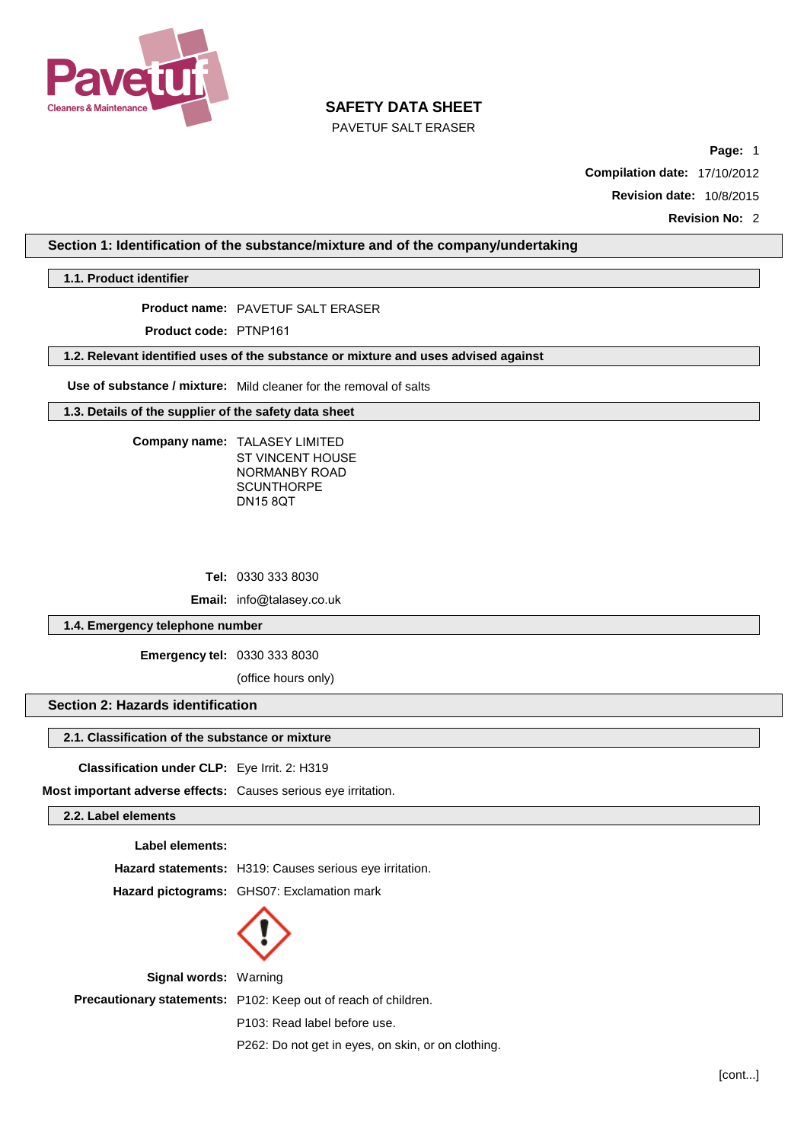

PAVETUF SALT ERASER

**Page:** 1

**Compilation date:** 17/10/2012

**Revision date:** 10/8/2015

**Revision No:** 2

**Section 1: Identification of the substance/mixture and of the company/undertaking**

**1.1. Product identifier**

**Product name:** PAVETUF SALT ERASER

**Product code:** PTNP161

**1.2. Relevant identified uses of the substance or mixture and uses advised against**

**Use of substance / mixture:** Mild cleaner for the removal of salts

**1.3. Details of the supplier of the safety data sheet**

**Company name:** TALASEY LIMITED ST VINCENT HOUSE NORMANBY ROAD **SCUNTHORPE** DN15 8QT

**Tel:** 0330 333 8030

**Email:** [info@talasey.co.uk](mailto:info@urbansurfaceprotection.co.uk)

**1.4. Emergency telephone number**

**Emergency tel:** 0330 333 8030

(office hours only)

## **Section 2: Hazards identification**

### **2.1. Classification of the substance or mixture**

**Classification under CLP:** Eye Irrit. 2: H319

**Most important adverse effects:** Causes serious eye irritation.

**2.2. Label elements**

#### **Label elements:**

**Hazard statements:** H319: Causes serious eye irritation.

**Hazard pictograms:** GHS07: Exclamation mark



**Signal words:** Warning **Precautionary statements:** P102: Keep out of reach of children. P103: Read label before use. P262: Do not get in eyes, on skin, or on clothing.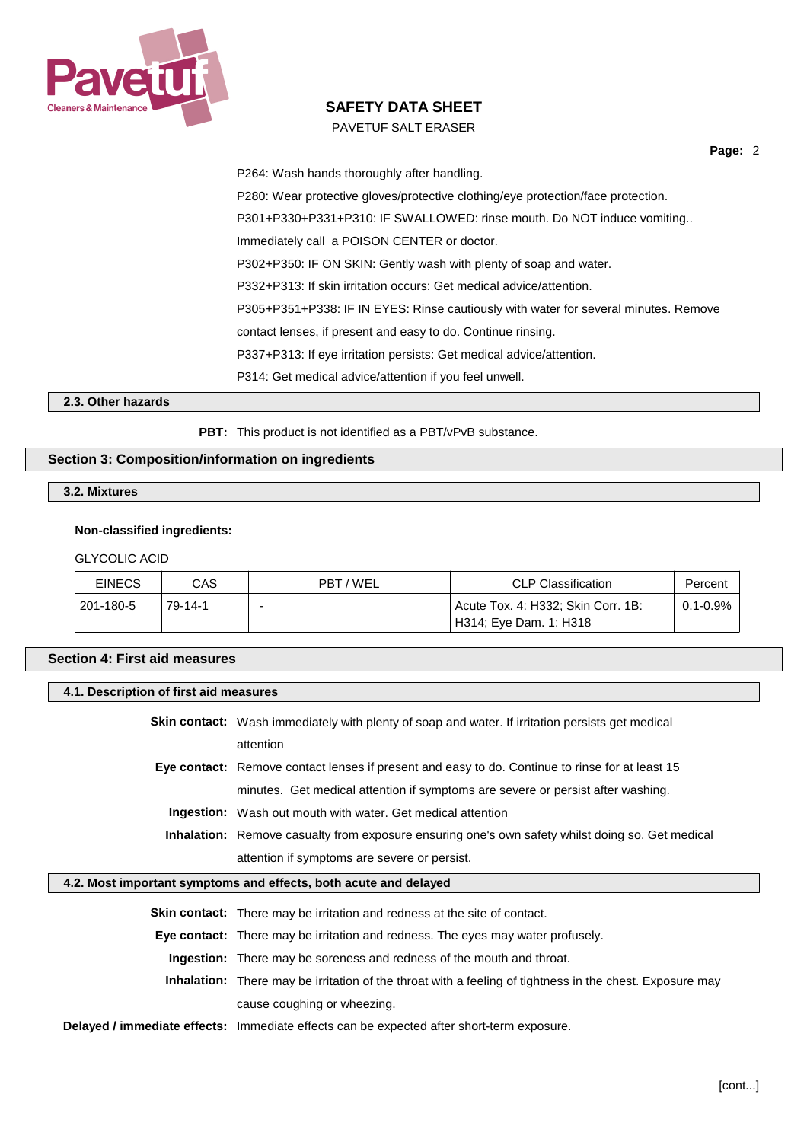

## PAVETUF SALT ERASER

**Page:** 2

P264: Wash hands thoroughly after handling. P280: Wear protective gloves/protective clothing/eye protection/face protection. P301+P330+P331+P310: IF SWALLOWED: rinse mouth. Do NOT induce vomiting.. Immediately call a POISON CENTER or doctor. P302+P350: IF ON SKIN: Gently wash with plenty of soap and water. P332+P313: If skin irritation occurs: Get medical advice/attention. P305+P351+P338: IF IN EYES: Rinse cautiously with water for several minutes. Remove contact lenses, if present and easy to do. Continue rinsing. P337+P313: If eye irritation persists: Get medical advice/attention. P314: Get medical advice/attention if you feel unwell.

**2.3. Other hazards**

**PBT:** This product is not identified as a PBT/vPvB substance.

## **Section 3: Composition/information on ingredients**

**3.2. Mixtures**

### **Non-classified ingredients:**

#### GLYCOLIC ACID

| <b>EINECS</b> | CAS     | PBT/WEL | <b>CLP Classification</b>          | Percent             |
|---------------|---------|---------|------------------------------------|---------------------|
| 201-180-5     | 79-14-1 |         | Acute Tox. 4: H332; Skin Corr. 1B: | $^{\circ}$ 0.1-0.9% |
|               |         |         | ' H314; Eye Dam. 1: H318           |                     |

### **Section 4: First aid measures**

#### **4.1. Description of first aid measures**

**Skin contact:** Wash immediately with plenty of soap and water. If irritation persists get medical attention

**Eye contact:** Remove contact lenses if present and easy to do. Continue to rinse for at least 15 minutes. Get medical attention if symptoms are severe or persist after washing.

**Ingestion:** Wash out mouth with water. Get medical attention

**Inhalation:** Remove casualty from exposure ensuring one's own safety whilst doing so. Get medical attention if symptoms are severe or persist.

## **4.2. Most important symptoms and effects, both acute and delayed**

**Skin contact:** There may be irritation and redness at the site of contact. **Eye contact:** There may be irritation and redness. The eyes may water profusely. **Ingestion:** There may be soreness and redness of the mouth and throat. **Inhalation:** There may be irritation of the throat with a feeling of tightness in the chest. Exposure may cause coughing or wheezing.

**Delayed / immediate effects:** Immediate effects can be expected after short-term exposure.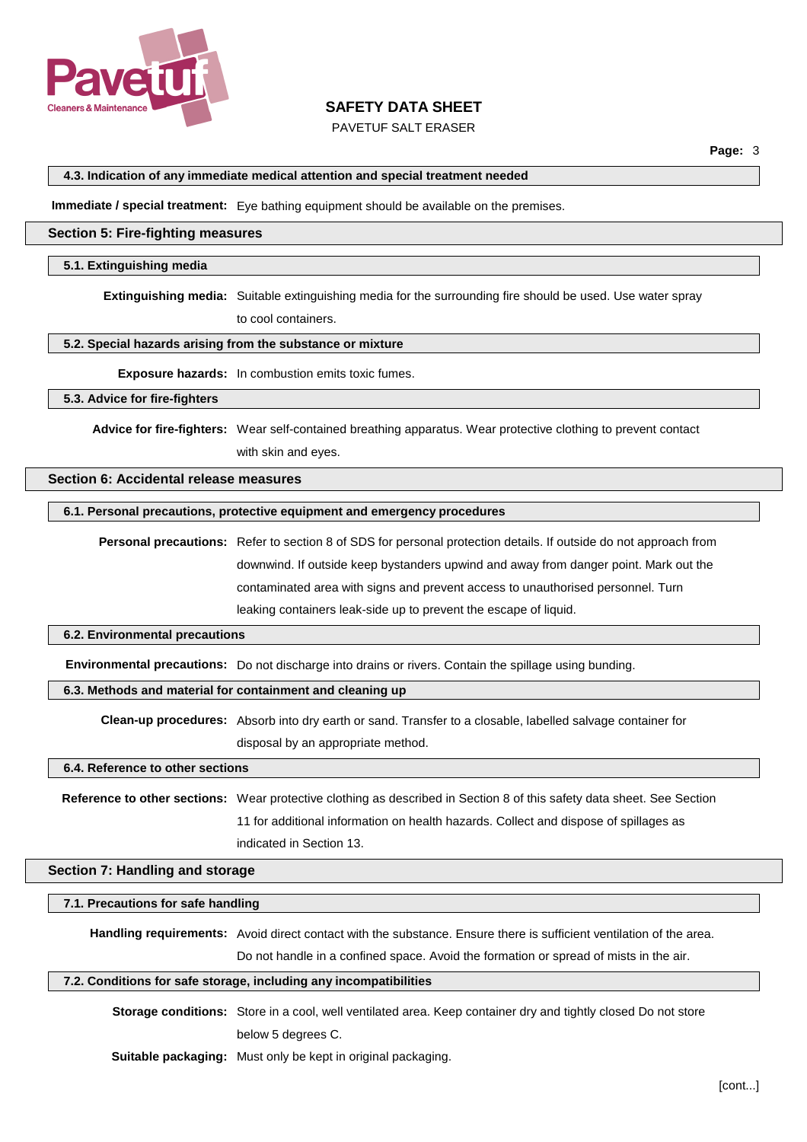

## PAVETUF SALT ERASER

#### **4.3. Indication of any immediate medical attention and special treatment needed**

**Immediate / special treatment:** Eye bathing equipment should be available on the premises.

### **Section 5: Fire-fighting measures**

#### **5.1. Extinguishing media**

**Extinguishing media:** Suitable extinguishing media for the surrounding fire should be used. Use water spray

to cool containers.

#### **5.2. Special hazards arising from the substance or mixture**

**Exposure hazards:** In combustion emits toxic fumes.

#### **5.3. Advice for fire-fighters**

**Advice for fire-fighters:** Wear self-contained breathing apparatus. Wear protective clothing to prevent contact

with skin and eyes.

### **Section 6: Accidental release measures**

## **6.1. Personal precautions, protective equipment and emergency procedures**

**Personal precautions:** Refer to section 8 of SDS for personal protection details. If outside do not approach from downwind. If outside keep bystanders upwind and away from danger point. Mark out the contaminated area with signs and prevent access to unauthorised personnel. Turn leaking containers leak-side up to prevent the escape of liquid.

#### **6.2. Environmental precautions**

**Environmental precautions:** Do not discharge into drains or rivers. Contain the spillage using bunding.

## **6.3. Methods and material for containment and cleaning up**

**Clean-up procedures:** Absorb into dry earth or sand. Transfer to a closable, labelled salvage container for disposal by an appropriate method.

#### **6.4. Reference to other sections**

**Reference to other sections:** Wear protective clothing as described in Section 8 of this safety data sheet. See Section 11 for additional information on health hazards. Collect and dispose of spillages as indicated in Section 13.

#### **Section 7: Handling and storage**

#### **7.1. Precautions for safe handling**

**Handling requirements:** Avoid direct contact with the substance. Ensure there is sufficient ventilation of the area.

Do not handle in a confined space. Avoid the formation or spread of mists in the air.

#### **7.2. Conditions for safe storage, including any incompatibilities**

**Storage conditions:** Store in a cool, well ventilated area. Keep container dry and tightly closed Do not store below 5 degrees C.

**Suitable packaging:** Must only be kept in original packaging.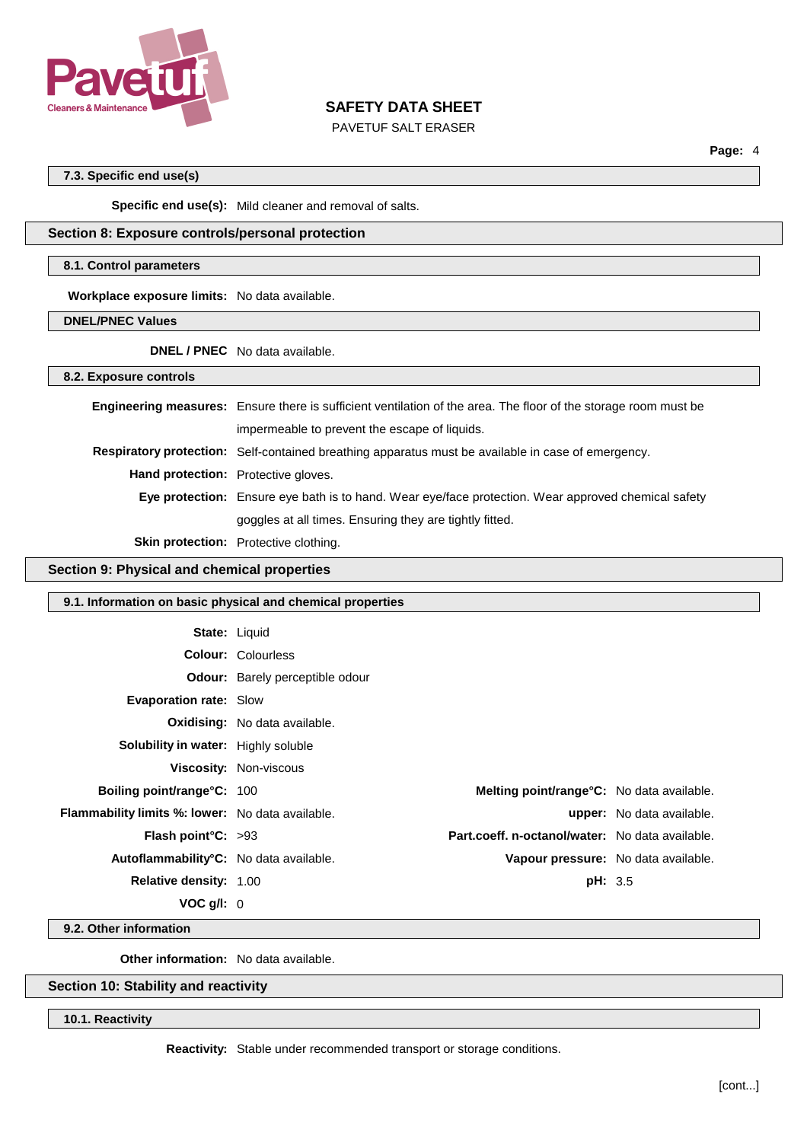

## PAVETUF SALT ERASER

**Page:** 4

## **7.3. Specific end use(s)**

**Specific end use(s):** Mild cleaner and removal of salts.

## **Section 8: Exposure controls/personal protection**

#### **8.1. Control parameters**

**Workplace exposure limits:** No data available.

**DNEL/PNEC Values**

**DNEL / PNEC** No data available.

**8.2. Exposure controls**

|                                            | <b>Engineering measures:</b> Ensure there is sufficient ventilation of the area. The floor of the storage room must be |
|--------------------------------------------|------------------------------------------------------------------------------------------------------------------------|
|                                            | impermeable to prevent the escape of liquids.                                                                          |
|                                            | Respiratory protection: Self-contained breathing apparatus must be available in case of emergency.                     |
| <b>Hand protection:</b> Protective gloves. |                                                                                                                        |
|                                            | Eye protection: Ensure eye bath is to hand. Wear eye/face protection. Wear approved chemical safety                    |
|                                            | goggles at all times. Ensuring they are tightly fitted.                                                                |
|                                            | <b>Skin protection:</b> Protective clothing.                                                                           |

## **Section 9: Physical and chemical properties**

# **9.1. Information on basic physical and chemical properties**

| <b>State: Liquid</b>                                    |                                        |                                                   |                                  |
|---------------------------------------------------------|----------------------------------------|---------------------------------------------------|----------------------------------|
|                                                         | <b>Colour: Colourless</b>              |                                                   |                                  |
|                                                         | <b>Odour:</b> Barely perceptible odour |                                                   |                                  |
| <b>Evaporation rate: Slow</b>                           |                                        |                                                   |                                  |
|                                                         | <b>Oxidising:</b> No data available.   |                                                   |                                  |
| Solubility in water: Highly soluble                     |                                        |                                                   |                                  |
|                                                         | <b>Viscosity: Non-viscous</b>          |                                                   |                                  |
| <b>Boiling point/range°C: 100</b>                       |                                        | <b>Melting point/range °C:</b> No data available. |                                  |
| <b>Flammability limits %: lower:</b> No data available. |                                        |                                                   | <b>upper:</b> No data available. |
| <b>Flash point °C:</b> $>93$                            |                                        | Part.coeff. n-octanol/water: No data available.   |                                  |
| Autoflammability <sup>o</sup> C: No data available.     |                                        | Vapour pressure: No data available.               |                                  |
| <b>Relative density: 1.00</b>                           |                                        | <b>pH: 3.5</b>                                    |                                  |
| VOC q/l: 0                                              |                                        |                                                   |                                  |

**9.2. Other information**

**Other information:** No data available.

# **Section 10: Stability and reactivity**

**10.1. Reactivity**

**Reactivity:** Stable under recommended transport or storage conditions.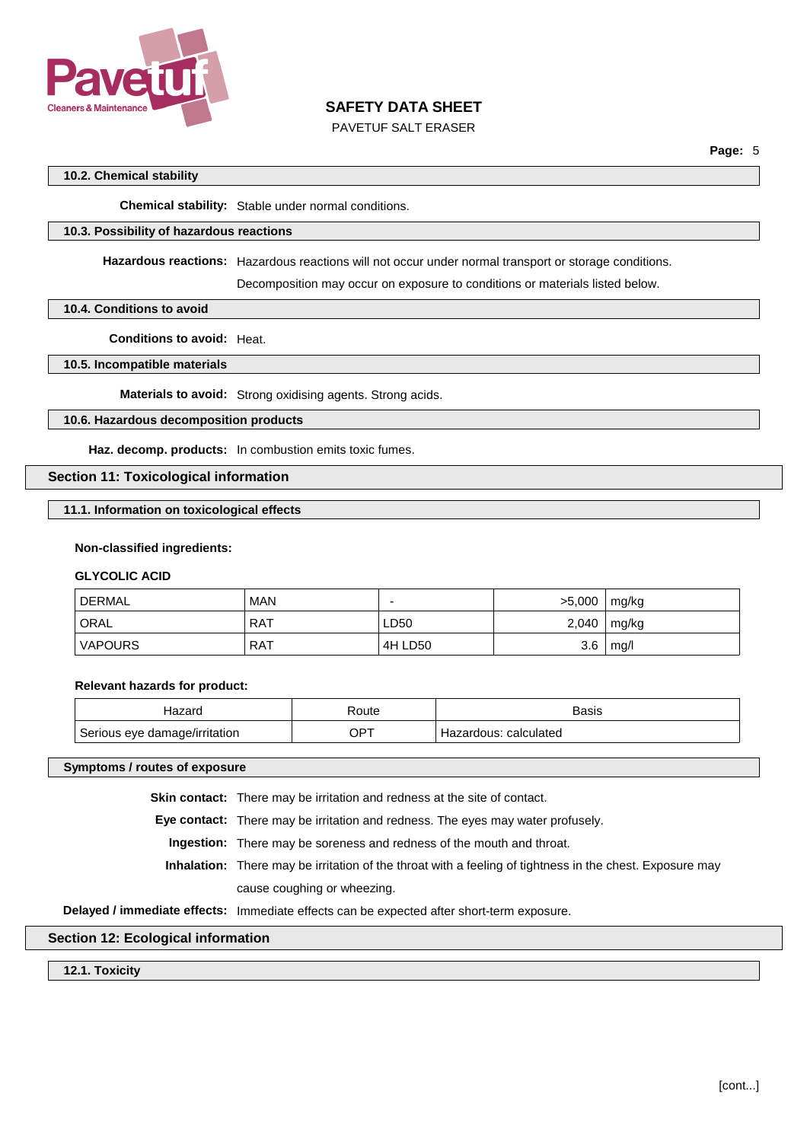

PAVETUF SALT ERASER

## **10.2. Chemical stability**

**Chemical stability:** Stable under normal conditions.

### **10.3. Possibility of hazardous reactions**

**Hazardous reactions:** Hazardous reactions will not occur under normal transport or storage conditions.

Decomposition may occur on exposure to conditions or materials listed below.

#### **10.4. Conditions to avoid**

**Conditions to avoid:** Heat.

### **10.5. Incompatible materials**

**Materials to avoid:** Strong oxidising agents. Strong acids.

## **10.6. Hazardous decomposition products**

**Haz. decomp. products:** In combustion emits toxic fumes.

### **Section 11: Toxicological information**

## **11.1. Information on toxicological effects**

#### **Non-classified ingredients:**

### **GLYCOLIC ACID**

| DERMAL <sup>'</sup> | <b>MAN</b> |         | >5,000 | mg/kg |
|---------------------|------------|---------|--------|-------|
| ' ORAL              | <b>RAT</b> | LD50    | 2,040  | mg/kg |
| 'VAPOURS            | <b>RAT</b> | 4H LD50 | 3.6    | mg/l  |

#### **Relevant hazards for product:**

| Hazard                        | रoute | <b>Basis</b>          |
|-------------------------------|-------|-----------------------|
| Serious eye damage/irritation | JP7   | Hazardous: calculated |

#### **Symptoms / routes of exposure**

**Skin contact:** There may be irritation and redness at the site of contact.

**Eye contact:** There may be irritation and redness. The eyes may water profusely.

**Ingestion:** There may be soreness and redness of the mouth and throat.

**Inhalation:** There may be irritation of the throat with a feeling of tightness in the chest. Exposure may cause coughing or wheezing.

**Delayed / immediate effects:** Immediate effects can be expected after short-term exposure.

## **Section 12: Ecological information**

**12.1. Toxicity**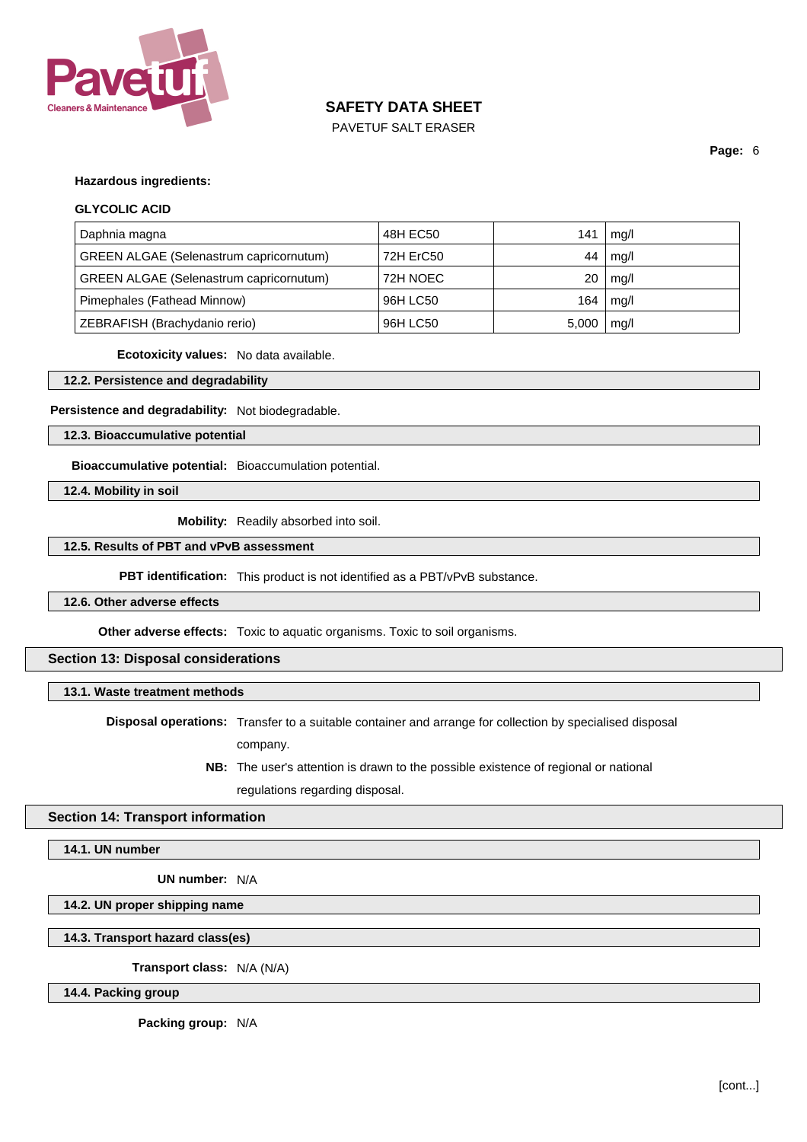

PAVETUF SALT ERASER

**Page:** 6

#### **Hazardous ingredients:**

#### **GLYCOLIC ACID**

| Daphnia magna                                  | 48H EC50  | 141   | mg/l |
|------------------------------------------------|-----------|-------|------|
| <b>GREEN ALGAE (Selenastrum capricornutum)</b> | 72H ErC50 | 44    | mq/l |
| <b>GREEN ALGAE (Selenastrum capricornutum)</b> | 72H NOEC  | 20    | mg/l |
| Pimephales (Fathead Minnow)                    | 96H LC50  | 164   | mq/l |
| ZEBRAFISH (Brachydanio rerio)                  | 96H LC50  | 5,000 | mq/l |

**Ecotoxicity values:** No data available.

**12.2. Persistence and degradability**

#### **Persistence and degradability:** Not biodegradable.

**12.3. Bioaccumulative potential**

**Bioaccumulative potential:** Bioaccumulation potential.

**12.4. Mobility in soil**

**Mobility:** Readily absorbed into soil.

## **12.5. Results of PBT and vPvB assessment**

**PBT identification:** This product is not identified as a PBT/vPvB substance.

## **12.6. Other adverse effects**

**Other adverse effects:** Toxic to aquatic organisms. Toxic to soil organisms.

### **Section 13: Disposal considerations**

### **13.1. Waste treatment methods**

**Disposal operations:** Transfer to a suitable container and arrange for collection by specialised disposal company.

> **NB:** The user's attention is drawn to the possible existence of regional or national regulations regarding disposal.

#### **Section 14: Transport information**

**14.1. UN number**

**UN number:** N/A

# **14.2. UN proper shipping name**

## **14.3. Transport hazard class(es)**

**Transport class:** N/A (N/A)

**14.4. Packing group**

**Packing group:** N/A